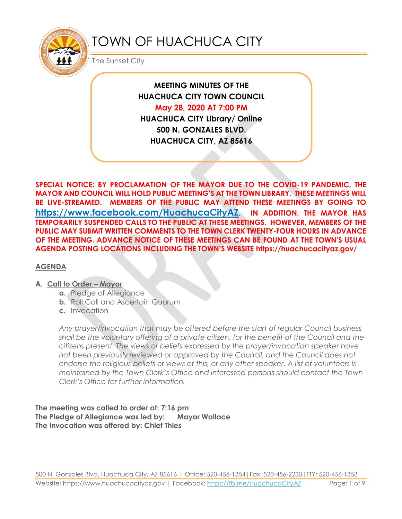

# TOWN OF HUACHUCA CITY

The Sunset City

**MEETING MINUTES OF THE HUACHUCA CITY TOWN COUNCIL May 28, 2020 AT 7:00 PM HUACHUCA CITY Library/ Online 500 N. GONZALES BLVD. HUACHUCA CITY, AZ 85616**

**SPECIAL NOTICE: BY PROCLAMATION OF THE MAYOR DUE TO THE COVID-19 PANDEMIC, THE MAYOR AND COUNCIL WILL HOLD PUBLIC MEETING'S AT THE TOWN LIBRARY. THESE MEETINGS WILL BE LIVE-STREAMED. MEMBERS OF THE PUBLIC MAY ATTEND THESE MEETINGS BY GOING TO <https://www.facebook.com/HuachucaCityAZ>. IN ADDITION, THE MAYOR HAS TEMPORARILY SUSPENDED CALLS TO THE PUBLIC AT THESE MEETINGS. HOWEVER, MEMBERS OF THE PUBLIC MAY SUBMIT WRITTEN COMMENTS TO THE TOWN CLERK TWENTY-FOUR HOURS IN ADVANCE OF THE MEETING. ADVANCE NOTICE OF THESE MEETINGS CAN BE FOUND AT THE TOWN'S USUAL AGENDA POSTING LOCATIONS INCLUDING THE TOWN'S WEBSITE https://huachucacityaz.gov/**

## **AGENDA**

## **A.** Call to Order – Mayor

- **a.** Pledge of Allegiance
- **b.** Roll Call and Ascertain Quorum
- **c.** Invocation

*Any prayer/invocation that may be offered before the start of regular Council business shall be the voluntary offering of a private citizen, for the benefit of the Council and the citizens present. The views or beliefs expressed by the prayer/invocation speaker have not been previously reviewed or approved by the Council, and the Council does not endorse the religious beliefs or views of this, or any other speaker. A list of volunteers is maintained by the Town Clerk's Office and interested persons should contact the Town Clerk's Office for further information.*

**The meeting was called to order at: 7:16 pm The Pledge of Allegiance was led by: Mayor Wallace The invocation was offered by: Chief Thies**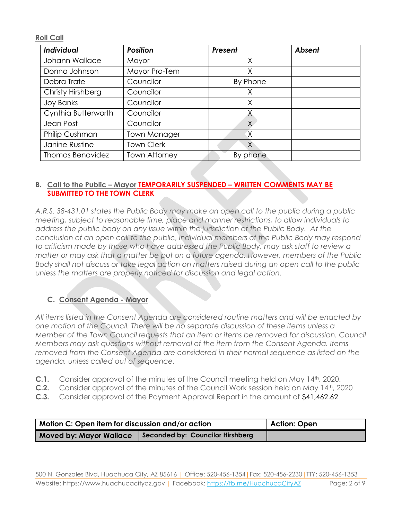**Roll Call**

| Individual              | <b>Position</b>      | Present  | <b>Absent</b> |
|-------------------------|----------------------|----------|---------------|
| Johann Wallace          | Mayor                | Χ        |               |
| Donna Johnson           | Mayor Pro-Tem        | Χ        |               |
| Debra Trate             | Councilor            | By Phone |               |
| Christy Hirshberg       | Councilor            | X        |               |
| <b>Joy Banks</b>        | Councilor            | X        |               |
| Cynthia Butterworth     | Councilor            |          |               |
| Jean Post               | Councilor            | X        |               |
| Philip Cushman          | <b>Town Manager</b>  | X        |               |
| Janine Rustine          | <b>Town Clerk</b>    | X.       |               |
| <b>Thomas Benavidez</b> | <b>Town Attorney</b> | By phone |               |

#### **B. Call to the Public – Mayor TEMPORARILY SUSPENDED – WRITTEN COMMENTS MAY BE SUBMITTED TO THE TOWN CLERK**

*A.R.S. 38-431.01 states the Public Body may make an open call to the public during a public meeting, subject to reasonable time, place and manner restrictions, to allow individuals to address the public body on any issue within the jurisdiction of the Public Body. At the conclusion of an open call to the public, individual members of the Public Body may respond to criticism made by those who have addressed the Public Body, may ask staff to review a matter or may ask that a matter be put on a future agenda. However, members of the Public Body shall not discuss or take legal action on matters raised during an open call to the public unless the matters are properly noticed for discussion and legal action.*

## **C. Consent Agenda - Mayor**

*All items listed in the Consent Agenda are considered routine matters and will be enacted by one motion of the Council. There will be no separate discussion of these items unless a Member of the Town Council requests that an item or items be removed for discussion. Council Members may ask questions without removal of the item from the Consent Agenda. Items removed from the Consent Agenda are considered in their normal sequence as listed on the agenda, unless called out of sequence.*

- **C.1.** Consider approval of the minutes of the Council meeting held on May 14th, 2020.
- **C.2.** Consider approval of the minutes of the Council Work session held on May 14th, 2020
- **C.3.** Consider approval of the Payment Approval Report in the amount of \$41,462.62

| Motion C: Open item for discussion and/or action | Action: Open                     |  |
|--------------------------------------------------|----------------------------------|--|
| <b>Moved by: Mayor Wallace</b>                   | Seconded by: Councilor Hirshberg |  |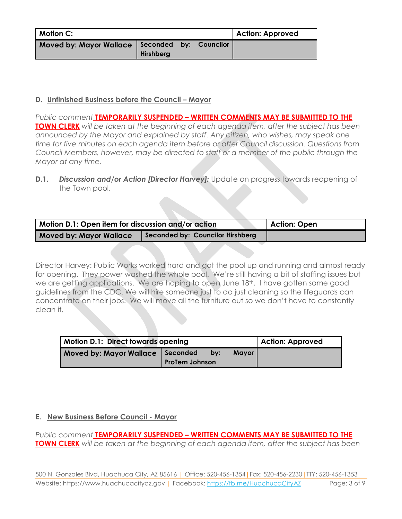| <b>Motion C:</b>                                 |           |  | Action: Approved |
|--------------------------------------------------|-----------|--|------------------|
| Moved by: Mayor Wallace   Seconded by: Councilor | Hirshberg |  |                  |

# **D. Unfinished Business before the Council – Mayor**

*Public comment* **TEMPORARILY SUSPENDED – WRITTEN COMMENTS MAY BE SUBMITTED TO THE TOWN CLERK** *will be taken at the beginning of each agenda item, after the subject has been announced by the Mayor and explained by staff. Any citizen, who wishes, may speak one time for five minutes on each agenda item before or after Council discussion. Questions from Council Members, however, may be directed to staff or a member of the public through the Mayor at any time.*

**D.1. Discussion and/or Action [Director Harvey]:** Update on progress towards reopening of the Town pool.

| Motion D.1: Open item for discussion and/or action | Action: Open                     |  |
|----------------------------------------------------|----------------------------------|--|
| <b>Moved by: Mayor Wallace</b>                     | Seconded by: Councilor Hirshberg |  |

Director Harvey: Public Works worked hard and got the pool up and running and almost ready for opening. They power washed the whole pool. We're still having a bit of staffing issues but we are getting applications. We are hoping to open June 18th. I have gotten some good guidelines from the CDC. We will hire someone just to do just cleaning so the lifeguards can concentrate on their jobs. We will move all the furniture out so we don't have to constantly clean it.

| Motion D.1: Direct towards opening | Action: Approved      |     |              |  |
|------------------------------------|-----------------------|-----|--------------|--|
| Moved by: Mayor Wallace   Seconded | <b>ProTem Johnson</b> | bv: | <b>Mayor</b> |  |

## **E. New Business Before Council - Mayor**

*Public comment* **TEMPORARILY SUSPENDED – WRITTEN COMMENTS MAY BE SUBMITTED TO THE TOWN CLERK** *will be taken at the beginning of each agenda item, after the subject has been*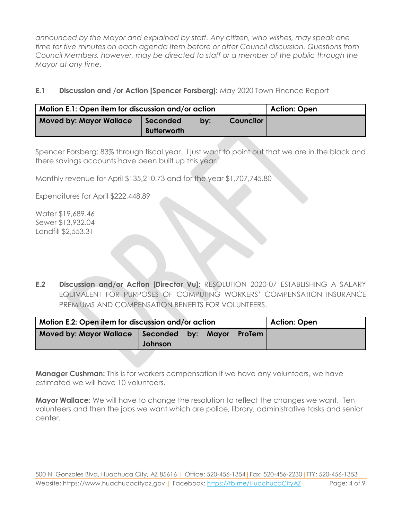*announced by the Mayor and explained by staff. Any citizen, who wishes, may speak one time for five minutes on each agenda item before or after Council discussion. Questions from Council Members, however, may be directed to staff or a member of the public through the Mayor at any time.* 

**E.1 Discussion and /or Action [Spencer Forsberg]:** May 2020 Town Finance Report

| Motion E.1: Open item for discussion and/or action | Action: Open                   |     |                  |  |
|----------------------------------------------------|--------------------------------|-----|------------------|--|
| <b>Moved by: Mayor Wallace</b>                     | Seconded<br><b>Butterworth</b> | by: | <b>Councilor</b> |  |

Spencer Forsberg: 83% through fiscal year. I just want to point out that we are in the black and there savings accounts have been built up this year.

Monthly revenue for April \$135,210.73 and for the year \$1,707,745.80

Expenditures for April \$222,448.89

Water \$19,689.46 Sewer \$13,932.04 Landfill \$2,553.31

**E.2 Discussion and/or Action [Director Vu]:** RESOLUTION 2020-07 ESTABLISHING A SALARY EQUIVALENT FOR PURPOSES OF COMPUTING WORKERS' COMPENSATION INSURANCE PREMIUMS AND COMPENSATION BENEFITS FOR VOLUNTEERS.

| Motion E.2: Open item for discussion and/or action |         |  |              |        | <b>Action: Open</b> |
|----------------------------------------------------|---------|--|--------------|--------|---------------------|
| Moved by: Mayor Wallace Seconded by:               | Johnson |  | <b>Mavor</b> | ProTem |                     |

**Manager Cushman:** This is for workers compensation if we have any volunteers, we have estimated we will have 10 volunteers.

**Mayor Wallace**: We will have to change the resolution to reflect the changes we want. Ten volunteers and then the jobs we want which are police, library, administrative tasks and senior center.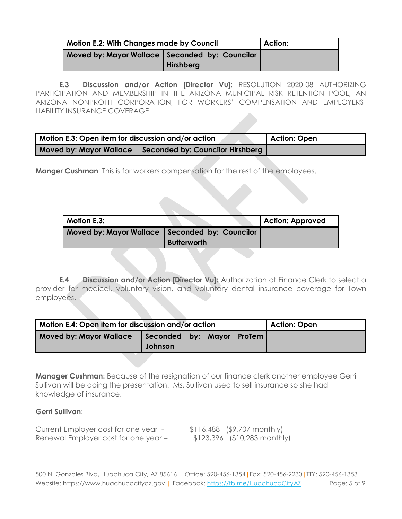| <b>Motion E.2: With Changes made by Council</b>  | Action:   |  |
|--------------------------------------------------|-----------|--|
| Moved by: Mayor Wallace   Seconded by: Councilor | Hirshberg |  |

**E.3 Discussion and/or Action [Director Vu]:** RESOLUTION 2020-08 AUTHORIZING PARTICIPATION AND MEMBERSHIP IN THE ARIZONA MUNICIPAL RISK RETENTION POOL, AN ARIZONA NONPROFIT CORPORATION, FOR WORKERS' COMPENSATION AND EMPLOYERS' LIABILITY INSURANCE COVERAGE.

| Motion E.3: Open item for discussion and/or action | Action: Open                     |  |
|----------------------------------------------------|----------------------------------|--|
| <b>Moved by: Mayor Wallace</b>                     | Seconded by: Councilor Hirshberg |  |

**Manger Cushman:** This is for workers compensation for the rest of the employees.

| Motion E.3:                                      |                    | <b>Action: Approved</b> |
|--------------------------------------------------|--------------------|-------------------------|
| Moved by: Mayor Wallace   Seconded by: Councilor | <b>Butterworth</b> |                         |

**E.4 Discussion and/or Action [Director Vu]:** Authorization of Finance Clerk to select a provider for medical, voluntary vision, and voluntary dental insurance coverage for Town employees.

| Motion E.4: Open item for discussion and/or action |                                      |  |  |  | Action: Open |
|----------------------------------------------------|--------------------------------------|--|--|--|--------------|
| <b>Moved by: Mayor Wallace</b>                     | Seconded by: Mayor ProTem<br>Johnson |  |  |  |              |

**Manager Cushman:** Because of the resignation of our finance clerk another employee Gerri Sullivan will be doing the presentation. Ms. Sullivan used to sell insurance so she had knowledge of insurance.

#### **Gerri Sullivan**:

Current Employer cost for one year - \$116,488 (\$9,707 monthly) Renewal Employer cost for one year – \$123,396 (\$10,283 monthly)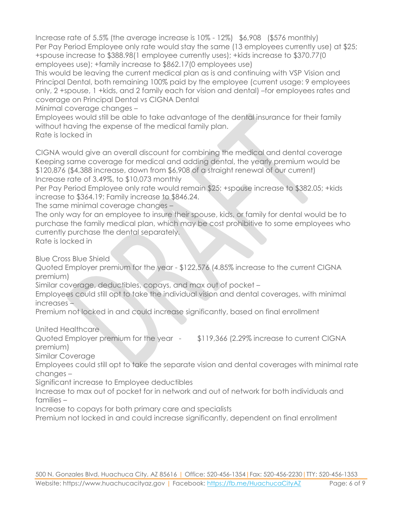Increase rate of 5.5% (the average increase is 10% - 12%) \$6,908 (\$576 monthly) Per Pay Period Employee only rate would stay the same (13 employees currently use) at \$25; +spouse increase to \$388.98(1 employee currently uses); +kids increase to \$370.77(0 employees use); +family increase to \$862.17(0 employees use)

This would be leaving the current medical plan as is and continuing with VSP Vision and Principal Dental, both remaining 100% paid by the employee (current usage: 9 employees only, 2 +spouse, 1 +kids, and 2 family each for vision and dental) –for employees rates and coverage on Principal Dental vs CIGNA Dental

Minimal coverage changes –

Employees would still be able to take advantage of the dental insurance for their family without having the expense of the medical family plan.

Rate is locked in

CIGNA would give an overall discount for combining the medical and dental coverage Keeping same coverage for medical and adding dental, the yearly premium would be \$120,876 (\$4,388 increase, down from \$6,908 of a straight renewal of our current) Increase rate of 3.49%, to \$10,073 monthly

Per Pay Period Employee only rate would remain \$25; +spouse increase to \$382.05; +kids increase to \$364.19; Family increase to \$846.24.

The same minimal coverage changes –

The only way for an employee to insure their spouse, kids, or family for dental would be to purchase the family medical plan, which may be cost prohibitive to some employees who currently purchase the dental separately.

Rate is locked in

Blue Cross Blue Shield

Quoted Employer premium for the year - \$122,576 (4.85% increase to the current CIGNA premium)

Similar coverage, deductibles, copays, and max out of pocket –

Employees could still opt to take the individual vision and dental coverages, with minimal increases –

Premium not locked in and could increase significantly, based on final enrollment

United Healthcare

Quoted Employer premium for the year - \$119,366 (2.29% increase to current CIGNA premium)

Similar Coverage

Employees could still opt to take the separate vision and dental coverages with minimal rate changes –

Significant increase to Employee deductibles

Increase to max out of pocket for in network and out of network for both individuals and families –

Increase to copays for both primary care and specialists

Premium not locked in and could increase significantly, dependent on final enrollment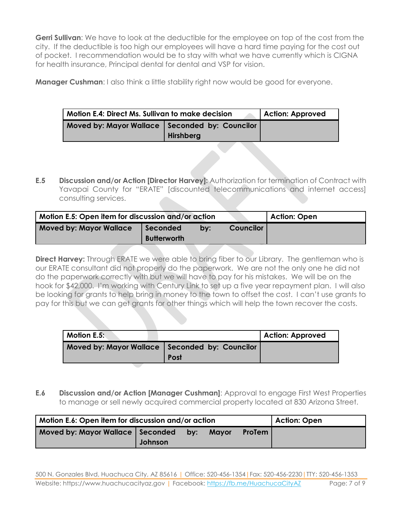**Gerri Sullivan**: We have to look at the deductible for the employee on top of the cost from the city. If the deductible is too high our employees will have a hard time paying for the cost out of pocket. I recommendation would be to stay with what we have currently which is CIGNA for health insurance, Principal dental for dental and VSP for vision.

**Manager Cushman:** I also think a little stability right now would be good for everyone.

| <b>Motion E.4: Direct Ms. Sullivan to make decision</b> | Action: Approved |  |
|---------------------------------------------------------|------------------|--|
| Moved by: Mayor Wallace   Seconded by: Councilor        |                  |  |
|                                                         | <b>Hirshberg</b> |  |

**E.5 Discussion and/or Action [Director Harvey]:** Authorization for termination of Contract with Yavapai County for "ERATE" [discounted telecommunications and internet access] consulting services.

| Motion E.5: Open item for discussion and/or action |                                |     |                  | Action: Open |
|----------------------------------------------------|--------------------------------|-----|------------------|--------------|
| <b>Moved by: Mayor Wallace</b>                     | Seconded<br><b>Butterworth</b> | by: | <b>Councilor</b> |              |

**Direct Harvey:** Through ERATE we were able to bring fiber to our Library. The gentleman who is our ERATE consultant did not properly do the paperwork. We are not the only one he did not do the paperwork correctly with but we will have to pay for his mistakes. We will be on the hook for \$42,000. I'm working with Century Link to set up a five year repayment plan. I will also be looking for grants to help bring in money to the town to offset the cost. I can't use grants to pay for this but we can get grants for other things which will help the town recover the costs.

| Motion E.5:                                      |             | <b>Action: Approved</b> |
|--------------------------------------------------|-------------|-------------------------|
| Moved by: Mayor Wallace   Seconded by: Councilor | <b>Post</b> |                         |

**E.6 Discussion and/or Action [Manager Cushman]**: Approval to engage First West Properties to manage or sell newly acquired commercial property located at 830 Arizona Street.

| Motion E.6: Open item for discussion and/or action |         |  |       |               | Action: Open |
|----------------------------------------------------|---------|--|-------|---------------|--------------|
| Moved by: Mayor Wallace   Seconded by:             | Johnson |  | Mavor | <b>ProTem</b> |              |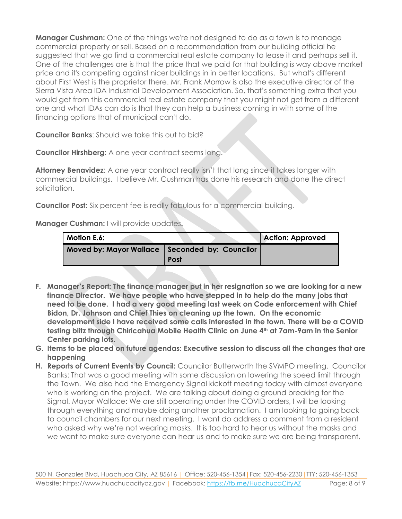**Manager Cushman:** One of the things we're not designed to do as a town is to manage commercial property or sell. Based on a recommendation from our building official he suggested that we go find a commercial real estate company to lease it and perhaps sell it. One of the challenges are is that the price that we paid for that building is way above market price and it's competing against nicer buildings in in better locations. But what's different about First West is the proprietor there. Mr. Frank Morrow is also the executive director of the Sierra Vista Area IDA Industrial Development Association. So, that's something extra that you would get from this commercial real estate company that you might not get from a different one and what IDAs can do is that they can help a business coming in with some of the financing options that of municipal can't do.

**Councilor Banks**: Should we take this out to bid?

**Councilor Hirshberg**: A one year contract seems long.

Attorney Benavidez: A one year contract really isn't that long since it takes longer with commercial buildings. I believe Mr. Cushman has done his research and done the direct solicitation.

**Councilor Post:** Six percent fee is really fabulous for a commercial building.

**Manager Cushman:** I will provide updates**.** 

| <b>Motion E.6:</b>                               |             | <b>Action: Approved</b> |
|--------------------------------------------------|-------------|-------------------------|
| Moved by: Mayor Wallace   Seconded by: Councilor | <b>Post</b> |                         |

- **F. Manager's Report: The finance manager put in her resignation so we are looking for a new finance Director. We have people who have stepped in to help do the many jobs that need to be done. I had a very good meeting last week on Code enforcement with Chief Bidon, Dr. Johnson and Chief Thies on cleaning up the town. On the economic development side I have received some calls interested in the town. There will be a COVID testing blitz through Chiricahua Mobile Health Clinic on June 4th at 7am-9am in the Senior Center parking lots.**
- **G. Items to be placed on future agendas: Executive session to discuss all the changes that are happening**
- **H. Reports of Current Events by Council:** Councilor Butterworth the SVMPO meeting. Councilor Banks: That was a good meeting with some discussion on lowering the speed limit through the Town. We also had the Emergency Signal kickoff meeting today with almost everyone who is working on the project. We are talking about doing a ground breaking for the Signal. Mayor Wallace: We are still operating under the COVID orders, I will be looking through everything and maybe doing another proclamation. I am looking to going back to council chambers for our next meeting. I want do address a comment from a resident who asked why we're not wearing masks. It is too hard to hear us without the masks and we want to make sure everyone can hear us and to make sure we are being transparent.